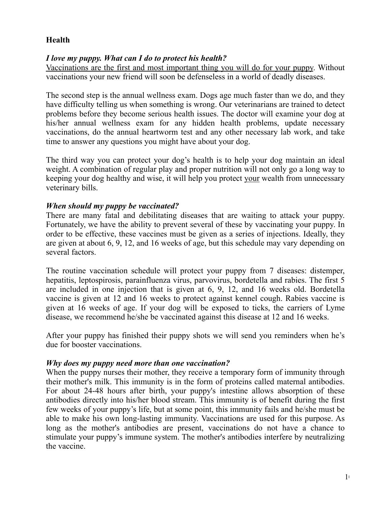# **Health**

## *I love my puppy. What can I do to protect his health?*

Vaccinations are the first and most important thing you will do for your puppy. Without vaccinations your new friend will soon be defenseless in a world of deadly diseases.

The second step is the annual wellness exam. Dogs age much faster than we do, and they have difficulty telling us when something is wrong. Our veterinarians are trained to detect problems before they become serious health issues. The doctor will examine your dog at his/her annual wellness exam for any hidden health problems, update necessary vaccinations, do the annual heartworm test and any other necessary lab work, and take time to answer any questions you might have about your dog.

The third way you can protect your dog's health is to help your dog maintain an ideal weight. A combination of regular play and proper nutrition will not only go a long way to keeping your dog healthy and wise, it will help you protect your wealth from unnecessary veterinary bills.

## *When should my puppy be vaccinated?*

There are many fatal and debilitating diseases that are waiting to attack your puppy. Fortunately, we have the ability to prevent several of these by vaccinating your puppy. In order to be effective, these vaccines must be given as a series of injections. Ideally, they are given at about 6, 9, 12, and 16 weeks of age, but this schedule may vary depending on several factors.

The routine vaccination schedule will protect your puppy from 7 diseases: distemper, hepatitis, leptospirosis, parainfluenza virus, parvovirus, bordetella and rabies. The first 5 are included in one injection that is given at 6, 9, 12, and 16 weeks old. Bordetella vaccine is given at 12 and 16 weeks to protect against kennel cough. Rabies vaccine is given at 16 weeks of age. If your dog will be exposed to ticks, the carriers of Lyme disease, we recommend he/she be vaccinated against this disease at 12 and 16 weeks.

After your puppy has finished their puppy shots we will send you reminders when he's due for booster vaccinations.

#### *Why does my puppy need more than one vaccination?*

When the puppy nurses their mother, they receive a temporary form of immunity through their mother's milk. This immunity is in the form of proteins called maternal antibodies. For about 24-48 hours after birth, your puppy's intestine allows absorption of these antibodies directly into his/her blood stream. This immunity is of benefit during the first few weeks of your puppy's life, but at some point, this immunity fails and he/she must be able to make his own long-lasting immunity. Vaccinations are used for this purpose. As long as the mother's antibodies are present, vaccinations do not have a chance to stimulate your puppy's immune system. The mother's antibodies interfere by neutralizing the vaccine.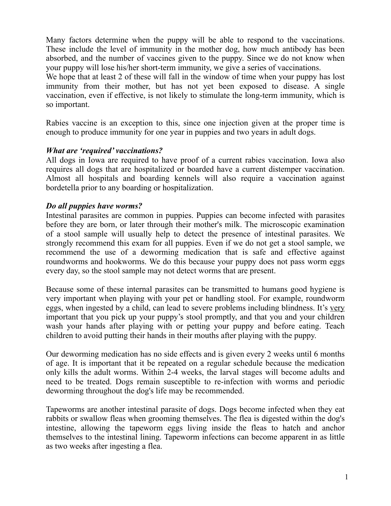Many factors determine when the puppy will be able to respond to the vaccinations. These include the level of immunity in the mother dog, how much antibody has been absorbed, and the number of vaccines given to the puppy. Since we do not know when your puppy will lose his/her short-term immunity, we give a series of vaccinations.

We hope that at least 2 of these will fall in the window of time when your puppy has lost immunity from their mother, but has not yet been exposed to disease. A single vaccination, even if effective, is not likely to stimulate the long-term immunity, which is so important.

Rabies vaccine is an exception to this, since one injection given at the proper time is enough to produce immunity for one year in puppies and two years in adult dogs.

## *What are 'required' vaccinations?*

All dogs in Iowa are required to have proof of a current rabies vaccination. Iowa also requires all dogs that are hospitalized or boarded have a current distemper vaccination. Almost all hospitals and boarding kennels will also require a vaccination against bordetella prior to any boarding or hospitalization.

## *Do all puppies have worms?*

Intestinal parasites are common in puppies. Puppies can become infected with parasites before they are born, or later through their mother's milk. The microscopic examination of a stool sample will usually help to detect the presence of intestinal parasites. We strongly recommend this exam for all puppies. Even if we do not get a stool sample, we recommend the use of a deworming medication that is safe and effective against roundworms and hookworms. We do this because your puppy does not pass worm eggs every day, so the stool sample may not detect worms that are present.

Because some of these internal parasites can be transmitted to humans good hygiene is very important when playing with your pet or handling stool. For example, roundworm eggs, when ingested by a child, can lead to severe problems including blindness. It's very important that you pick up your puppy's stool promptly, and that you and your children wash your hands after playing with or petting your puppy and before eating. Teach children to avoid putting their hands in their mouths after playing with the puppy.

Our deworming medication has no side effects and is given every 2 weeks until 6 months of age. It is important that it be repeated on a regular schedule because the medication only kills the adult worms. Within 2-4 weeks, the larval stages will become adults and need to be treated. Dogs remain susceptible to re-infection with worms and periodic deworming throughout the dog's life may be recommended.

Tapeworms are another intestinal parasite of dogs. Dogs become infected when they eat rabbits or swallow fleas when grooming themselves. The flea is digested within the dog's intestine, allowing the tapeworm eggs living inside the fleas to hatch and anchor themselves to the intestinal lining. Tapeworm infections can become apparent in as little as two weeks after ingesting a flea.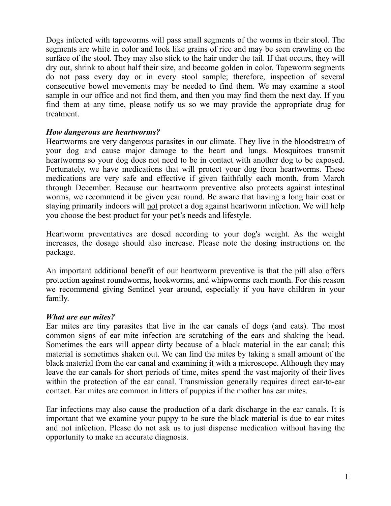Dogs infected with tapeworms will pass small segments of the worms in their stool. The segments are white in color and look like grains of rice and may be seen crawling on the surface of the stool. They may also stick to the hair under the tail. If that occurs, they will dry out, shrink to about half their size, and become golden in color. Tapeworm segments do not pass every day or in every stool sample; therefore, inspection of several consecutive bowel movements may be needed to find them. We may examine a stool sample in our office and not find them, and then you may find them the next day. If you find them at any time, please notify us so we may provide the appropriate drug for treatment.

## *How dangerous are heartworms?*

Heartworms are very dangerous parasites in our climate. They live in the bloodstream of your dog and cause major damage to the heart and lungs. Mosquitoes transmit heartworms so your dog does not need to be in contact with another dog to be exposed. Fortunately, we have medications that will protect your dog from heartworms. These medications are very safe and effective if given faithfully each month, from March through December. Because our heartworm preventive also protects against intestinal worms, we recommend it be given year round. Be aware that having a long hair coat or staying primarily indoors will not protect a dog against heartworm infection. We will help you choose the best product for your pet's needs and lifestyle.

Heartworm preventatives are dosed according to your dog's weight. As the weight increases, the dosage should also increase. Please note the dosing instructions on the package.

An important additional benefit of our heartworm preventive is that the pill also offers protection against roundworms, hookworms, and whipworms each month. For this reason we recommend giving Sentinel year around, especially if you have children in your family.

#### *What are ear mites?*

Ear mites are tiny parasites that live in the ear canals of dogs (and cats). The most common signs of ear mite infection are scratching of the ears and shaking the head. Sometimes the ears will appear dirty because of a black material in the ear canal; this material is sometimes shaken out. We can find the mites by taking a small amount of the black material from the ear canal and examining it with a microscope. Although they may leave the ear canals for short periods of time, mites spend the vast majority of their lives within the protection of the ear canal. Transmission generally requires direct ear-to-ear contact. Ear mites are common in litters of puppies if the mother has ear mites.

Ear infections may also cause the production of a dark discharge in the ear canals. It is important that we examine your puppy to be sure the black material is due to ear mites and not infection. Please do not ask us to just dispense medication without having the opportunity to make an accurate diagnosis.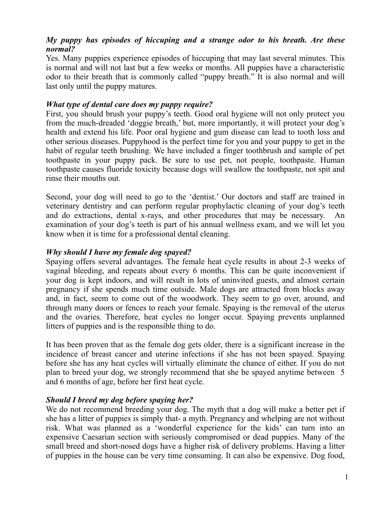## *My puppy has episodes of hiccuping and a strange odor to his breath. Are these normal?*

Yes. Many puppies experience episodes of hiccuping that may last several minutes. This is normal and will not last but a few weeks or months. All puppies have a characteristic odor to their breath that is commonly called "puppy breath." It is also normal and will last only until the puppy matures.

## *What type of dental care does my puppy require?*

First, you should brush your puppy's teeth. Good oral hygiene will not only protect you from the much-dreaded 'doggie breath,' but, more importantly, it will protect your dog's health and extend his life. Poor oral hygiene and gum disease can lead to tooth loss and other serious diseases. Puppyhood is the perfect time for you and your puppy to get in the habit of regular teeth brushing. We have included a finger toothbrush and sample of pet toothpaste in your puppy pack. Be sure to use pet, not people, toothpaste. Human toothpaste causes fluoride toxicity because dogs will swallow the toothpaste, not spit and rinse their mouths out.

Second, your dog will need to go to the 'dentist.' Our doctors and staff are trained in veterinary dentistry and can perform regular prophylactic cleaning of your dog's teeth and do extractions, dental x-rays, and other procedures that may be necessary. An examination of your dog's teeth is part of his annual wellness exam, and we will let you know when it is time for a professional dental cleaning.

## *Why should I have my female dog spayed?*

Spaying offers several advantages. The female heat cycle results in about 2-3 weeks of vaginal bleeding, and repeats about every 6 months. This can be quite inconvenient if your dog is kept indoors, and will result in lots of uninvited guests, and almost certain pregnancy if she spends much time outside. Male dogs are attracted from blocks away and, in fact, seem to come out of the woodwork. They seem to go over, around, and through many doors or fences to reach your female. Spaying is the removal of the uterus and the ovaries. Therefore, heat cycles no longer occur. Spaying prevents unplanned litters of puppies and is the responsible thing to do.

It has been proven that as the female dog gets older, there is a significant increase in the incidence of breast cancer and uterine infections if she has not been spayed. Spaying before she has any heat cycles will virtually eliminate the chance of either. If you do not plan to breed your dog, we strongly recommend that she be spayed anytime between 5 and 6 months of age, before her first heat cycle.

## *Should I breed my dog before spaying her?*

We do not recommend breeding your dog. The myth that a dog will make a better pet if she has a litter of puppies is simply that- a myth. Pregnancy and whelping are not without risk. What was planned as a 'wonderful experience for the kids' can turn into an expensive Caesarian section with seriously compromised or dead puppies. Many of the small breed and short-nosed dogs have a higher risk of delivery problems. Having a litter of puppies in the house can be very time consuming. It can also be expensive. Dog food,